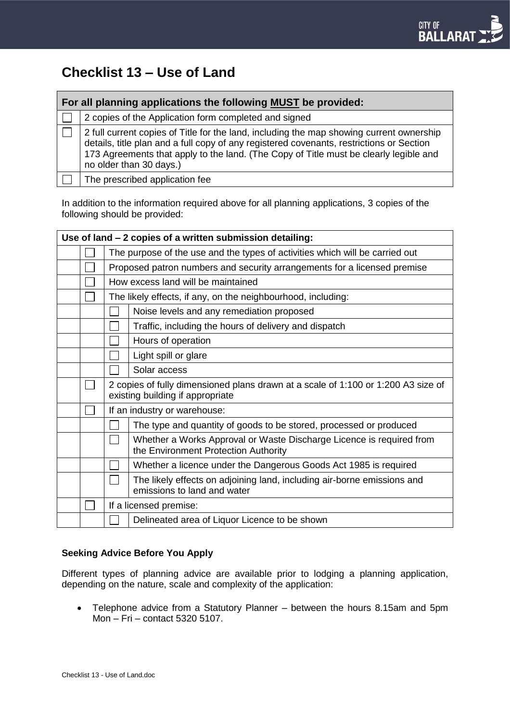# **Checklist 13 – Use of Land**

| For all planning applications the following MUST be provided: |                                                                                                                                                                                                                                                                                                          |  |  |  |
|---------------------------------------------------------------|----------------------------------------------------------------------------------------------------------------------------------------------------------------------------------------------------------------------------------------------------------------------------------------------------------|--|--|--|
|                                                               | 2 copies of the Application form completed and signed                                                                                                                                                                                                                                                    |  |  |  |
|                                                               | 2 full current copies of Title for the land, including the map showing current ownership<br>details, title plan and a full copy of any registered covenants, restrictions or Section<br>173 Agreements that apply to the land. (The Copy of Title must be clearly legible and<br>no older than 30 days.) |  |  |  |
|                                                               | The prescribed application fee                                                                                                                                                                                                                                                                           |  |  |  |

In addition to the information required above for all planning applications, 3 copies of the following should be provided:

| Use of land - 2 copies of a written submission detailing: |  |                                                                                                                       |                                                                                                              |  |  |
|-----------------------------------------------------------|--|-----------------------------------------------------------------------------------------------------------------------|--------------------------------------------------------------------------------------------------------------|--|--|
|                                                           |  | The purpose of the use and the types of activities which will be carried out                                          |                                                                                                              |  |  |
|                                                           |  | Proposed patron numbers and security arrangements for a licensed premise                                              |                                                                                                              |  |  |
|                                                           |  | How excess land will be maintained                                                                                    |                                                                                                              |  |  |
|                                                           |  | The likely effects, if any, on the neighbourhood, including:                                                          |                                                                                                              |  |  |
|                                                           |  |                                                                                                                       | Noise levels and any remediation proposed                                                                    |  |  |
|                                                           |  |                                                                                                                       | Traffic, including the hours of delivery and dispatch                                                        |  |  |
|                                                           |  |                                                                                                                       | Hours of operation                                                                                           |  |  |
|                                                           |  |                                                                                                                       | Light spill or glare                                                                                         |  |  |
|                                                           |  |                                                                                                                       | Solar access                                                                                                 |  |  |
|                                                           |  | 2 copies of fully dimensioned plans drawn at a scale of 1:100 or 1:200 A3 size of<br>existing building if appropriate |                                                                                                              |  |  |
|                                                           |  | If an industry or warehouse:                                                                                          |                                                                                                              |  |  |
|                                                           |  |                                                                                                                       | The type and quantity of goods to be stored, processed or produced                                           |  |  |
|                                                           |  |                                                                                                                       | Whether a Works Approval or Waste Discharge Licence is required from<br>the Environment Protection Authority |  |  |
|                                                           |  |                                                                                                                       | Whether a licence under the Dangerous Goods Act 1985 is required                                             |  |  |
|                                                           |  |                                                                                                                       | The likely effects on adjoining land, including air-borne emissions and<br>emissions to land and water       |  |  |
|                                                           |  | If a licensed premise:                                                                                                |                                                                                                              |  |  |
|                                                           |  |                                                                                                                       | Delineated area of Liquor Licence to be shown                                                                |  |  |

## **Seeking Advice Before You Apply**

Different types of planning advice are available prior to lodging a planning application, depending on the nature, scale and complexity of the application:

• Telephone advice from a Statutory Planner – between the hours 8.15am and 5pm Mon – Fri – contact 5320 5107.